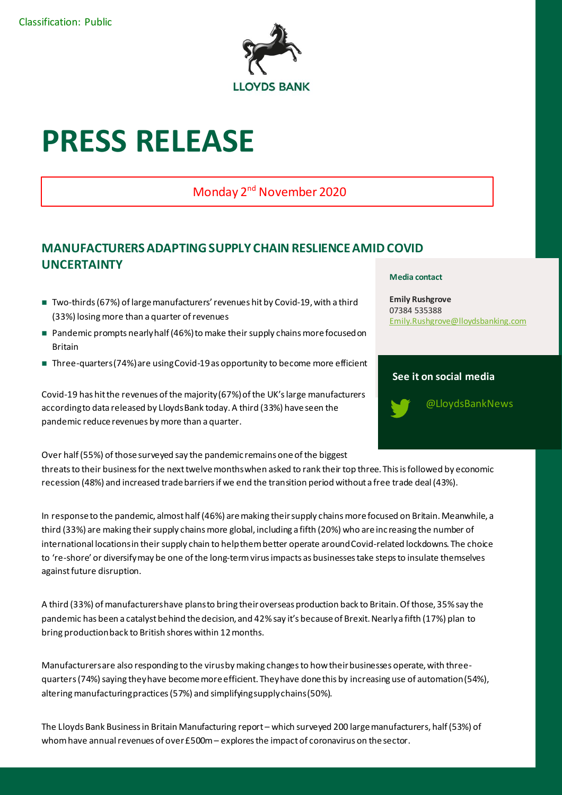

# **PRESS RELEASE**

## Monday 2<sup>nd</sup> November 2020

## **MANUFACTURERS ADAPTING SUPPLY CHAIN RESLIENCE AMID COVID UNCERTAINTY**

- Two-thirds (67%) of large manufacturers' revenues hit by Covid-19, with a third (33%) losing more than a quarter of revenues
- Pandemic prompts nearly half (46%) to make their supply chains more focused on Britain
- Three-quarters (74%) are using Covid-19 as opportunity to become more efficient

Covid-19 has hit the revenues of the majority (67%) of the UK's large manufacturers according to data released by Lloyds Bank today. A third (33%) have seen the pandemic reduce revenues by more than a quarter.

Over half (55%) of those surveyed say the pandemic remains one of the biggest

threats to their business for the next twelve months when asked to rank their top three. This is followed by economic recession (48%) and increased trade barriers if we end the transition period without a free trade deal (43%).

In response to the pandemic, almost half (46%) are making their supply chains more focused on Britain. Meanwhile, a third (33%) are making their supply chains more global, including a fifth (20%) who are inc reasing the number of international locations in their supply chain to help them better operate around Covid-related lockdowns. The choice to 're-shore' or diversify may be one of the long-term virus impacts as businesses take steps to insulate themselves against future disruption.

A third (33%) of manufacturers have plans to bring their overseas production back to Britain. Of those, 35% say the pandemic has been a catalyst behind the decision, and 42% say it's because of Brexit. Nearly a fifth (17%) plan to bring production back to British shores within 12 months.

Manufacturers are also responding to the virus by making changes to how their businesses operate, with threequarters (74%) saying they have become more efficient. They have done this by increasing use of automation (54%), altering manufacturing practices (57%) and simplifying supply chains (50%).

The Lloyds Bank Business in Britain Manufacturing report – which surveyed 200 large manufacturers, half (53%) of whom have annual revenues of over £500m – explores the impact of coronavirus on the sector.

#### **Media contact**

**Emily Rushgrove**  07384 535388 [Emily.Rushgrove@lloydsbanking.com](mailto:Emily.Rushgrove@lloydsbanking.com)

### **See it on social media**



@LloydsBankNews